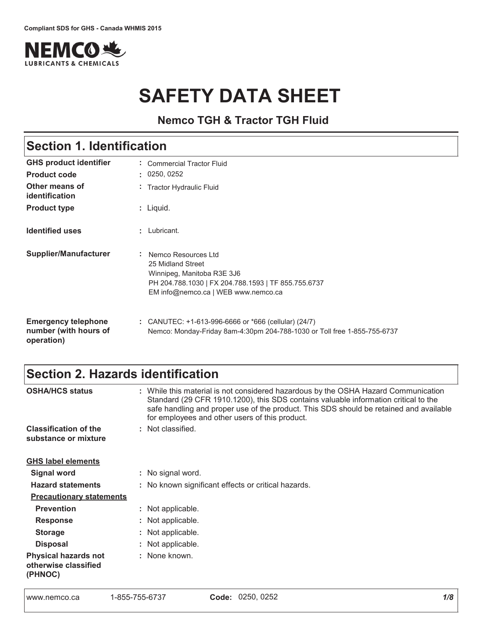

# **SAFETY DATA SHEET**

**Nemco TGH & Tractor TGH Fluid**

# Section 1. Identification

| <b>GHS product identifier</b><br><b>Product code</b>              | Commercial Tractor Fluid<br>: 0250, 0252                                                                                                                               |
|-------------------------------------------------------------------|------------------------------------------------------------------------------------------------------------------------------------------------------------------------|
| Other means of<br>identification                                  | : Tractor Hydraulic Fluid                                                                                                                                              |
| <b>Product type</b>                                               | $:$ Liquid.                                                                                                                                                            |
| <b>Identified uses</b>                                            | : Lubricant.                                                                                                                                                           |
| <b>Supplier/Manufacturer</b>                                      | : Nemco Resources Ltd<br>25 Midland Street<br>Winnipeg, Manitoba R3E 3J6<br>PH 204.788.1030   FX 204.788.1593   TF 855.755.6737<br>EM info@nemco.ca   WEB www.nemco.ca |
| <b>Emergency telephone</b><br>number (with hours of<br>operation) | : CANUTEC: $+1-613-996-6666$ or $*666$ (cellular) (24/7)<br>Nemco: Monday-Friday 8am-4:30pm 204-788-1030 or Toll free 1-855-755-6737                                   |

# Section 2. Hazards identification

| <b>OSHA/HCS status</b>                                         | : While this material is not considered hazardous by the OSHA Hazard Communication<br>Standard (29 CFR 1910.1200), this SDS contains valuable information critical to the<br>safe handling and proper use of the product. This SDS should be retained and available<br>for employees and other users of this product. |
|----------------------------------------------------------------|-----------------------------------------------------------------------------------------------------------------------------------------------------------------------------------------------------------------------------------------------------------------------------------------------------------------------|
| <b>Classification of the</b><br>substance or mixture           | : Not classified.                                                                                                                                                                                                                                                                                                     |
| <b>GHS label elements</b>                                      |                                                                                                                                                                                                                                                                                                                       |
| <b>Signal word</b>                                             | : No signal word.                                                                                                                                                                                                                                                                                                     |
| <b>Hazard statements</b>                                       | : No known significant effects or critical hazards.                                                                                                                                                                                                                                                                   |
| <b>Precautionary statements</b>                                |                                                                                                                                                                                                                                                                                                                       |
| <b>Prevention</b>                                              | : Not applicable.                                                                                                                                                                                                                                                                                                     |
| <b>Response</b>                                                | : Not applicable.                                                                                                                                                                                                                                                                                                     |
| <b>Storage</b>                                                 | : Not applicable.                                                                                                                                                                                                                                                                                                     |
| <b>Disposal</b>                                                | : Not applicable.                                                                                                                                                                                                                                                                                                     |
| <b>Physical hazards not</b><br>otherwise classified<br>(PHNOC) | : None known.                                                                                                                                                                                                                                                                                                         |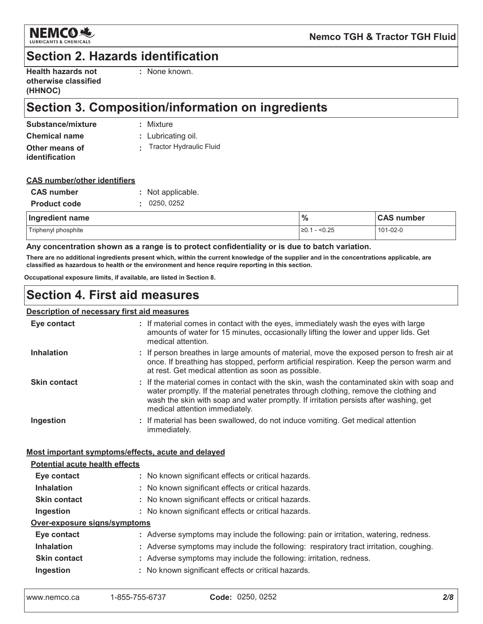

### **Section 2. Hazards identification**

| <b>Health hazards not</b> |  |
|---------------------------|--|
| otherwise classified      |  |
| (HHNOC)                   |  |

: None known.

# Section 3. Composition/information on ingredients

**Chemical name** 

: Mixture

: Lubricating oil.

Other means of identification

### : Tractor Hydraulic Fluid

### **CAS number/other identifiers**

| <b>CAS number</b>   | : Not applicable. |
|---------------------|-------------------|
| <b>Product code</b> | : 0250, 0252      |

| Ingredient name     | $\frac{0}{6}$      | <b>CAS number</b> |
|---------------------|--------------------|-------------------|
| Triphenyl phosphite | $-$ <0.25<br>1≥0.1 | 101-02-0          |

#### Any concentration shown as a range is to protect confidentiality or is due to batch variation.

There are no additional ingredients present which, within the current knowledge of the supplier and in the concentrations applicable, are classified as hazardous to health or the environment and hence require reporting in this section.

Occupational exposure limits, if available, are listed in Section 8.

### **Section 4. First aid measures**

### **Description of necessary first aid measures**

| Eye contact                           | : If material comes in contact with the eyes, immediately wash the eyes with large<br>amounts of water for 15 minutes, occasionally lifting the lower and upper lids. Get<br>medical attention.                                                                                                               |
|---------------------------------------|---------------------------------------------------------------------------------------------------------------------------------------------------------------------------------------------------------------------------------------------------------------------------------------------------------------|
| <b>Inhalation</b>                     | : If person breathes in large amounts of material, move the exposed person to fresh air at<br>once. If breathing has stopped, perform artificial respiration. Keep the person warm and<br>at rest. Get medical attention as soon as possible.                                                                 |
| <b>Skin contact</b>                   | : If the material comes in contact with the skin, wash the contaminated skin with soap and<br>water promptly. If the material penetrates through clothing, remove the clothing and<br>wash the skin with soap and water promptly. If irritation persists after washing, get<br>medical attention immediately. |
| Ingestion                             | : If material has been swallowed, do not induce vomiting. Get medical attention<br>immediately.                                                                                                                                                                                                               |
|                                       | Most important symptoms/effects, acute and delayed                                                                                                                                                                                                                                                            |
| <b>Potential acute health effects</b> |                                                                                                                                                                                                                                                                                                               |
| Eye contact                           | : No known significant effects or critical hazards.                                                                                                                                                                                                                                                           |
| <b>Inhalation</b>                     | : No known significant effects or critical hazards.                                                                                                                                                                                                                                                           |
| <b>Skin contact</b>                   | : No known significant effects or critical hazards.                                                                                                                                                                                                                                                           |
| Ingestion                             | : No known significant effects or critical hazards.                                                                                                                                                                                                                                                           |
| Over-exposure signs/symptoms          |                                                                                                                                                                                                                                                                                                               |
| Eye contact                           | : Adverse symptoms may include the following: pain or irritation, watering, redness.                                                                                                                                                                                                                          |
| <b>Inhalation</b>                     | : Adverse symptoms may include the following: respiratory tract irritation, coughing.                                                                                                                                                                                                                         |
| <b>Skin contact</b>                   | : Adverse symptoms may include the following: irritation, redness.                                                                                                                                                                                                                                            |
| Ingestion                             | : No known significant effects or critical hazards.                                                                                                                                                                                                                                                           |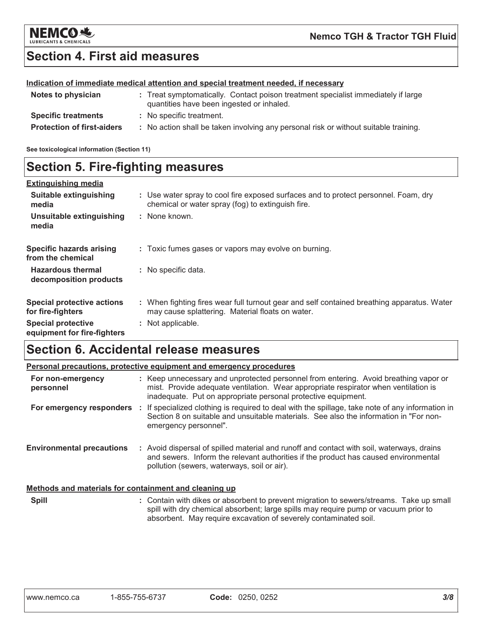

### **Section 4. First aid measures**

#### Indication of immediate medical attention and special treatment needed, if necessary

| Notes to physician                | : Treat symptomatically. Contact poison treatment specialist immediately if large<br>quantities have been ingested or inhaled. |
|-----------------------------------|--------------------------------------------------------------------------------------------------------------------------------|
| <b>Specific treatments</b>        | : No specific treatment.                                                                                                       |
| <b>Protection of first-aiders</b> | : No action shall be taken involving any personal risk or without suitable training.                                           |

See toxicological information (Section 11)

### **Section 5. Fire-fighting measures**

| <b>Extinguishing media</b>                               |                                                                                                                                                |
|----------------------------------------------------------|------------------------------------------------------------------------------------------------------------------------------------------------|
| Suitable extinguishing<br>media                          | : Use water spray to cool fire exposed surfaces and to protect personnel. Foam, dry<br>chemical or water spray (fog) to extinguish fire.       |
| Unsuitable extinguishing<br>media                        | : None known.                                                                                                                                  |
| <b>Specific hazards arising</b><br>from the chemical     | : Toxic fumes gases or vapors may evolve on burning.                                                                                           |
| <b>Hazardous thermal</b><br>decomposition products       | : No specific data.                                                                                                                            |
| <b>Special protective actions</b><br>for fire-fighters   | : When fighting fires wear full turnout gear and self contained breathing apparatus. Water<br>may cause splattering. Material floats on water. |
| <b>Special protective</b><br>equipment for fire-fighters | : Not applicable.                                                                                                                              |

# **Section 6. Accidental release measures**

|                                                       | <b>Personal precautions, protective equipment and emergency procedures</b>                                                                                                                                                                         |
|-------------------------------------------------------|----------------------------------------------------------------------------------------------------------------------------------------------------------------------------------------------------------------------------------------------------|
| For non-emergency<br>personnel                        | : Keep unnecessary and unprotected personnel from entering. Avoid breathing vapor or<br>mist. Provide adequate ventilation. Wear appropriate respirator when ventilation is<br>inadequate. Put on appropriate personal protective equipment.       |
|                                                       | For emergency responders : If specialized clothing is required to deal with the spillage, take note of any information in<br>Section 8 on suitable and unsuitable materials. See also the information in "For non-<br>emergency personnel".        |
| <b>Environmental precautions</b>                      | : Avoid dispersal of spilled material and runoff and contact with soil, waterways, drains<br>and sewers. Inform the relevant authorities if the product has caused environmental<br>pollution (sewers, waterways, soil or air).                    |
| Methods and materials for containment and cleaning up |                                                                                                                                                                                                                                                    |
| <b>Spill</b>                                          | : Contain with dikes or absorbent to prevent migration to sewers/streams. Take up small<br>spill with dry chemical absorbent; large spills may require pump or vacuum prior to<br>absorbent. May require excavation of severely contaminated soil. |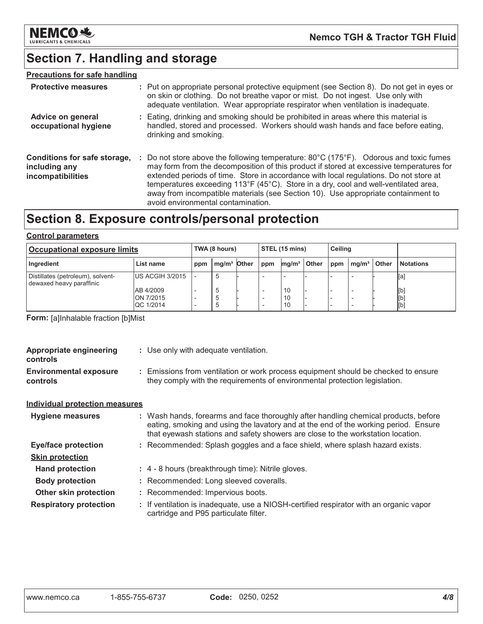

# Section 7. Handling and storage

### **Precautions for safe handling**

| <b>Protective measures</b>                                         | : Put on appropriate personal protective equipment (see Section 8). Do not get in eyes or<br>on skin or clothing. Do not breathe vapor or mist. Do not ingest. Use only with<br>adequate ventilation. Wear appropriate respirator when ventilation is inadequate.                                                                                                                                                                                                                                              |
|--------------------------------------------------------------------|----------------------------------------------------------------------------------------------------------------------------------------------------------------------------------------------------------------------------------------------------------------------------------------------------------------------------------------------------------------------------------------------------------------------------------------------------------------------------------------------------------------|
| Advice on general<br>occupational hygiene                          | : Eating, drinking and smoking should be prohibited in areas where this material is<br>handled, stored and processed. Workers should wash hands and face before eating,<br>drinking and smoking.                                                                                                                                                                                                                                                                                                               |
| Conditions for safe storage,<br>including any<br>incompatibilities | Do not store above the following temperature: $80^{\circ}$ C (175 $^{\circ}$ F). Odorous and toxic fumes<br>may form from the decomposition of this product if stored at excessive temperatures for<br>extended periods of time. Store in accordance with local regulations. Do not store at<br>temperatures exceeding 113°F (45°C). Store in a dry, cool and well-ventilated area,<br>away from incompatible materials (see Section 10). Use appropriate containment to<br>avoid environmental contamination. |

### Section 8. Exposure controls/personal protection

#### **Control parameters**

| <b>Occupational exposure limits</b>                           |                                            |     | TWA (8 hours)           |  |                          | <b>STEL (15 mins)</b> |       |     | <b>Ceiling</b>    |       |                   |
|---------------------------------------------------------------|--------------------------------------------|-----|-------------------------|--|--------------------------|-----------------------|-------|-----|-------------------|-------|-------------------|
| Ingredient                                                    | List name                                  | ppm | mg/m <sup>3</sup> Other |  | ppm                      | mg/m <sup>3</sup>     | Other | ppm | mq/m <sup>3</sup> | Other | <b>Notations</b>  |
| Distillates (petroleum), solvent-<br>dewaxed heavy paraffinic | <b>IUS ACGIH 3/2015</b>                    |     | $\mathbf b$             |  | $\overline{\phantom{0}}$ |                       |       |     |                   |       | [a]               |
|                                                               | AB 4/2009<br>ON 7/2015<br><b>QC 1/2014</b> |     |                         |  |                          | 10<br>10<br>10        |       |     |                   |       | [b]<br>[b]<br>[b] |

Form: [a]Inhalable fraction [b]Mist

| <b>Appropriate engineering</b><br>controls | : Use only with adequate ventilation.                                                                                                                                                                                                                         |
|--------------------------------------------|---------------------------------------------------------------------------------------------------------------------------------------------------------------------------------------------------------------------------------------------------------------|
| <b>Environmental exposure</b><br>controls  | : Emissions from ventilation or work process equipment should be checked to ensure<br>they comply with the requirements of environmental protection legislation.                                                                                              |
| <b>Individual protection measures</b>      |                                                                                                                                                                                                                                                               |
| <b>Hygiene measures</b>                    | : Wash hands, forearms and face thoroughly after handling chemical products, before<br>eating, smoking and using the lavatory and at the end of the working period. Ensure<br>that eyewash stations and safety showers are close to the workstation location. |
| <b>Eye/face protection</b>                 | : Recommended: Splash goggles and a face shield, where splash hazard exists.                                                                                                                                                                                  |
| <b>Skin protection</b>                     |                                                                                                                                                                                                                                                               |
| <b>Hand protection</b>                     | : 4 - 8 hours (breakthrough time): Nitrile gloves.                                                                                                                                                                                                            |
| <b>Body protection</b>                     | : Recommended: Long sleeved coveralls.                                                                                                                                                                                                                        |
| Other skin protection                      | : Recommended: Impervious boots.                                                                                                                                                                                                                              |
| <b>Respiratory protection</b>              | : If ventilation is inadequate, use a NIOSH-certified respirator with an organic vapor<br>cartridge and P95 particulate filter.                                                                                                                               |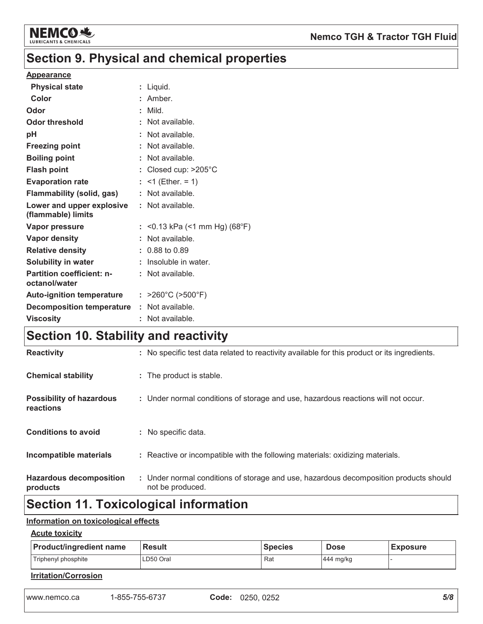

# Section 9. Physical and chemical properties

#### **Appearance**

| <b>Physical state</b>                             | : Liquid.                              |
|---------------------------------------------------|----------------------------------------|
| Color                                             | $:$ Amber.                             |
| Odor                                              | : Mild.                                |
| <b>Odor threshold</b>                             | : Not available.                       |
| pH                                                | : Not available.                       |
| <b>Freezing point</b>                             | : Not available.                       |
| <b>Boiling point</b>                              | : Not available.                       |
| <b>Flash point</b>                                | : Closed cup: $>205^{\circ}$ C         |
| <b>Evaporation rate</b>                           | : <1 (Ether. = 1)                      |
| <b>Flammability (solid, gas)</b>                  | : Not available.                       |
| Lower and upper explosive<br>(flammable) limits   | : Not available.                       |
| <b>Vapor pressure</b>                             | : <0.13 kPa (<1 mm Hg) (68°F)          |
| Vapor density                                     | : Not available.                       |
| <b>Relative density</b>                           | $: 0.88$ to $0.89$                     |
| <b>Solubility in water</b>                        | : Insoluble in water.                  |
| <b>Partition coefficient: n-</b><br>octanol/water | $:$ Not available.                     |
| <b>Auto-ignition temperature</b>                  | : $>260^{\circ}$ C ( $>500^{\circ}$ F) |
| <b>Decomposition temperature</b>                  | : Not available.                       |
| <b>Viscosity</b>                                  | : Not available.                       |

### Section 10. Stability and reactivity

| <b>Hazardous decomposition</b><br>products   | : Under normal conditions of storage and use, hazardous decomposition products should<br>not be produced. |
|----------------------------------------------|-----------------------------------------------------------------------------------------------------------|
| Incompatible materials                       | : Reactive or incompatible with the following materials: oxidizing materials.                             |
| <b>Conditions to avoid</b>                   | : No specific data.                                                                                       |
| <b>Possibility of hazardous</b><br>reactions | : Under normal conditions of storage and use, hazardous reactions will not occur.                         |
| <b>Chemical stability</b>                    | : The product is stable.                                                                                  |
| <b>Reactivity</b>                            | : No specific test data related to reactivity available for this product or its ingredients.              |

# **Section 11. Toxicological information**

### Information on toxicological effects

### **Acute toxicity**

| <b>Product/ingredient name</b> | <b>Result</b> | <b>Species</b> | <b>Dose</b> | <b>Exposure</b> |
|--------------------------------|---------------|----------------|-------------|-----------------|
| Triphenyl phosphite            | LD50 Oral     | Rat            | 444 mg/kg   |                 |
| Irritation/Corrosion           |               |                |             |                 |

1-855-755-6737 www.nemco.ca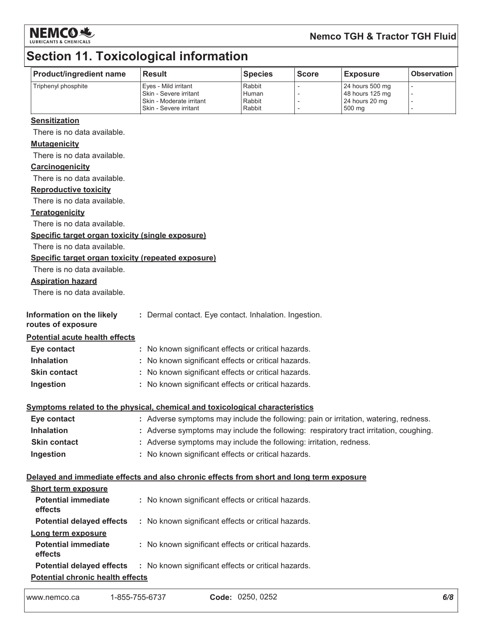

### **Nemco TGH & Tractor TGH Fluid**

# **Section 11. Toxicological information**

| <b>Product/ingredient name</b> | Result                                                                         | <b>Species</b>            | l Score | <b>Exposure</b>                                      | <b>Observation</b> |
|--------------------------------|--------------------------------------------------------------------------------|---------------------------|---------|------------------------------------------------------|--------------------|
| Triphenyl phosphite            | Eyes - Mild irritant<br>I Skin - Severe irritant<br>I Skin - Moderate irritant | Rabbit<br>Human<br>Rabbit |         | 24 hours 500 mg<br>48 hours 125 mg<br>24 hours 20 mg |                    |
|                                | I Skin - Severe irritant                                                       | Rabbit                    |         | 500 ma                                               |                    |

#### **Sensitization**

There is no data available.

#### **Mutagenicity**

There is no data available.

#### Carcinogenicity

There is no data available.

#### **Reproductive toxicity**

There is no data available.

#### **Teratogenicity**

There is no data available.

#### Specific target organ toxicity (single exposure)

There is no data available.

#### Specific target organ toxicity (repeated exposure)

There is no data available.

#### **Aspiration hazard**

There is no data available.

| Information on the likely<br>routes of exposure | : Dermal contact. Eye contact. Inhalation. Ingestion. |
|-------------------------------------------------|-------------------------------------------------------|
| <b>Potential acute health effects</b>           |                                                       |
| Eye contact                                     | : No known significant effects or critical hazards.   |
| <b>Inhalation</b>                               | : No known significant effects or critical hazards.   |
| <b>Skin contact</b>                             | : No known significant effects or critical hazards.   |

#### Ingestion : No known significant effects or critical hazards.

#### Symptoms related to the physical, chemical and toxicological characteristics

| Eye contact         | : Adverse symptoms may include the following: pain or irritation, watering, redness.  |
|---------------------|---------------------------------------------------------------------------------------|
| Inhalation          | : Adverse symptoms may include the following: respiratory tract irritation, coughing. |
| <b>Skin contact</b> | : Adverse symptoms may include the following: irritation, redness.                    |
| Ingestion           | : No known significant effects or critical hazards.                                   |

#### Delayed and immediate effects and also chronic effects from short and long term exposure

| <b>Short term exposure</b>              |                                                     |  |
|-----------------------------------------|-----------------------------------------------------|--|
| <b>Potential immediate</b><br>effects   | : No known significant effects or critical hazards. |  |
| <b>Potential delayed effects</b>        | : No known significant effects or critical hazards. |  |
| Long term exposure                      |                                                     |  |
| <b>Potential immediate</b><br>effects   | : No known significant effects or critical hazards. |  |
| <b>Potential delayed effects</b>        | : No known significant effects or critical hazards. |  |
| <b>Potential chronic health effects</b> |                                                     |  |

www.nemco.ca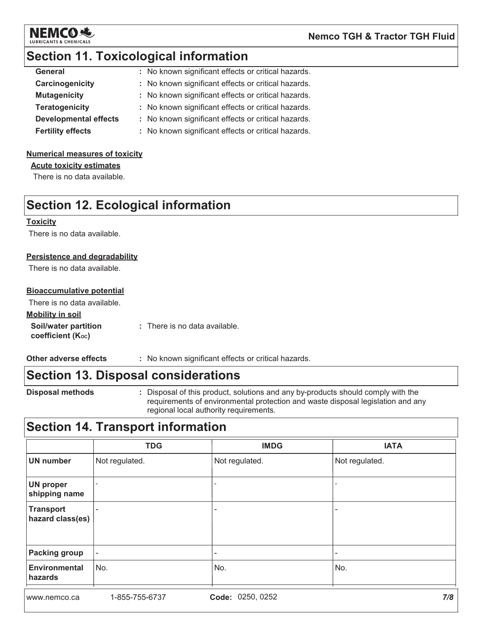

### **Section 11. Toxicological information**

| <b>General</b>               | : No known significant effects or critical hazards. |
|------------------------------|-----------------------------------------------------|
| Carcinogenicity              | : No known significant effects or critical hazards. |
| <b>Mutagenicity</b>          | : No known significant effects or critical hazards. |
| <b>Teratogenicity</b>        | : No known significant effects or critical hazards. |
| <b>Developmental effects</b> | : No known significant effects or critical hazards. |
| <b>Fertility effects</b>     | : No known significant effects or critical hazards. |
|                              |                                                     |

### **Numerical measures of toxicity**

**Acute toxicity estimates** 

There is no data available.

### **Section 12. Ecological information**

#### **Toxicity**

There is no data available.

#### **Persistence and degradability**

There is no data available.

#### **Bioaccumulative potential**

There is no data available.

#### **Mobility in soil**

Soil/water partition : There is no data available. coefficient (Koc)

Other adverse effects : No known significant effects or critical hazards.

### **Section 13. Disposal considerations**

**Disposal methods** 

: Disposal of this product, solutions and any by-products should comply with the requirements of environmental protection and waste disposal legislation and any regional local authority requirements.

### **Section 14. Transport information**

|                                 | <b>TDG</b>               | <b>IMDG</b>    | <b>IATA</b>    |
|---------------------------------|--------------------------|----------------|----------------|
| <b>UN number</b>                | Not regulated.           | Not regulated. | Not regulated. |
| UN proper<br>shipping name      |                          |                |                |
| Transport<br>hazard class(es)   |                          | -              |                |
| <b>Packing group</b>            | $\overline{\phantom{a}}$ | -              | ۰              |
| <b>Environmental</b><br>hazards | No.                      | No.            | No.            |